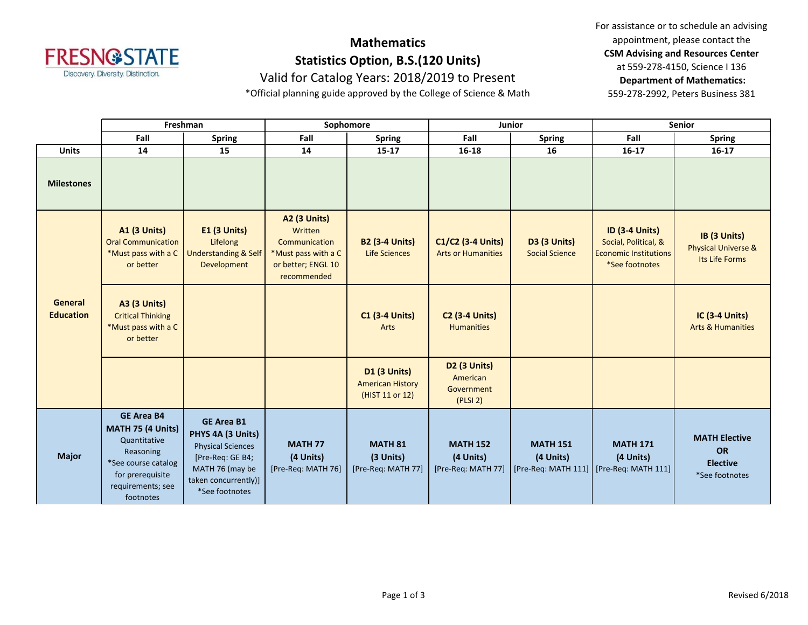

# **Mathematics Statistics Option, B.S.(120 Units)**

For assistance or to schedule an advising appointment, please contact the **CSM Advising and Resources Center** at 559-278-4150, Science I 136 **Department of Mathematics:** 559-278-2992, Peters Business 381

#### Valid for Catalog Years: 2018/2019 to Present

\*Official planning guide approved by the College of Science & Math

|                                    | Freshman                                                                                                                                         |                                                                                                                                                     | Sophomore                                                                                                   |                                                            | Junior                                                    |                                              | Senior                                                                                          |                                                                        |
|------------------------------------|--------------------------------------------------------------------------------------------------------------------------------------------------|-----------------------------------------------------------------------------------------------------------------------------------------------------|-------------------------------------------------------------------------------------------------------------|------------------------------------------------------------|-----------------------------------------------------------|----------------------------------------------|-------------------------------------------------------------------------------------------------|------------------------------------------------------------------------|
|                                    | Fall                                                                                                                                             | <b>Spring</b>                                                                                                                                       | Fall                                                                                                        | <b>Spring</b>                                              | Fall                                                      | <b>Spring</b>                                | Fall                                                                                            | <b>Spring</b>                                                          |
| <b>Units</b>                       | 14                                                                                                                                               | 15                                                                                                                                                  | 14                                                                                                          | $15 - 17$                                                  | $16 - 18$                                                 | 16                                           | $16-17$                                                                                         | $16 - 17$                                                              |
| <b>Milestones</b>                  |                                                                                                                                                  |                                                                                                                                                     |                                                                                                             |                                                            |                                                           |                                              |                                                                                                 |                                                                        |
| <b>General</b><br><b>Education</b> | <b>A1 (3 Units)</b><br><b>Oral Communication</b><br>*Must pass with a C<br>or better                                                             | <b>E1 (3 Units)</b><br>Lifelong<br><b>Understanding &amp; Self</b><br>Development                                                                   | <b>A2 (3 Units)</b><br>Written<br>Communication<br>*Must pass with a C<br>or better; ENGL 10<br>recommended | <b>B2 (3-4 Units)</b><br><b>Life Sciences</b>              | C1/C2 (3-4 Units)<br><b>Arts or Humanities</b>            | <b>D3 (3 Units)</b><br><b>Social Science</b> | <b>ID (3-4 Units)</b><br>Social, Political, &<br><b>Economic Institutions</b><br>*See footnotes | IB (3 Units)<br><b>Physical Universe &amp;</b><br>Its Life Forms       |
|                                    | <b>A3 (3 Units)</b><br><b>Critical Thinking</b><br>*Must pass with a C<br>or better                                                              |                                                                                                                                                     |                                                                                                             | <b>C1 (3-4 Units)</b><br>Arts                              | <b>C2 (3-4 Units)</b><br><b>Humanities</b>                |                                              |                                                                                                 | <b>IC (3-4 Units)</b><br><b>Arts &amp; Humanities</b>                  |
|                                    |                                                                                                                                                  |                                                                                                                                                     |                                                                                                             | D1 (3 Units)<br><b>American History</b><br>(HIST 11 or 12) | <b>D2 (3 Units)</b><br>American<br>Government<br>(PLSI 2) |                                              |                                                                                                 |                                                                        |
| <b>Major</b>                       | <b>GE Area B4</b><br>MATH 75 (4 Units)<br>Quantitative<br>Reasoning<br>*See course catalog<br>for prerequisite<br>requirements; see<br>footnotes | <b>GE Area B1</b><br>PHYS 4A (3 Units)<br><b>Physical Sciences</b><br>[Pre-Req: GE B4;<br>MATH 76 (may be<br>taken concurrently)]<br>*See footnotes | <b>MATH 77</b><br>(4 Units)<br>[Pre-Req: MATH 76]                                                           | <b>MATH 81</b><br>(3 Units)<br>[Pre-Req: MATH 77]          | <b>MATH 152</b><br>(4 Units)<br>[Pre-Req: MATH 77]        | <b>MATH 151</b><br>(4 Units)                 | <b>MATH 171</b><br>(4 Units)<br>[Pre-Req: MATH 111]   [Pre-Req: MATH 111]                       | <b>MATH Elective</b><br><b>OR</b><br><b>Elective</b><br>*See footnotes |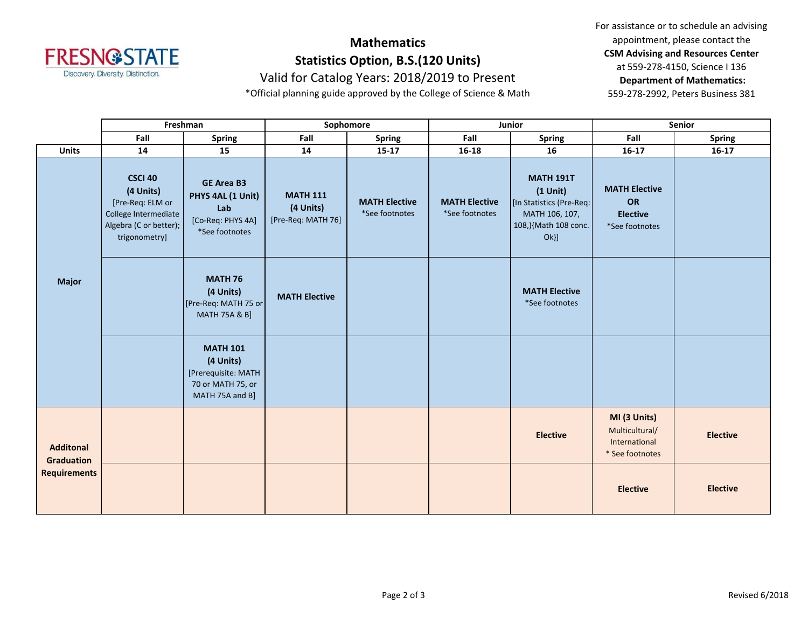

# **Mathematics Statistics Option, B.S.(120 Units)**

Valid for Catalog Years: 2018/2019 to Present

\*Official planning guide approved by the College of Science & Math

For assistance or to schedule an advising appointment, please contact the **CSM Advising and Resources Center** at 559-278-4150, Science I 136 **Department of Mathematics:** 559-278-2992, Peters Business 381

|                                                              | Freshman                                                                                                    |                                                                                             | Sophomore                                          |                                        | Junior                                 |                                                                                                            | Senior                                                             |                 |
|--------------------------------------------------------------|-------------------------------------------------------------------------------------------------------------|---------------------------------------------------------------------------------------------|----------------------------------------------------|----------------------------------------|----------------------------------------|------------------------------------------------------------------------------------------------------------|--------------------------------------------------------------------|-----------------|
|                                                              | Fall                                                                                                        | <b>Spring</b>                                                                               | Fall                                               | <b>Spring</b>                          | Fall                                   | <b>Spring</b>                                                                                              | Fall                                                               | <b>Spring</b>   |
| <b>Units</b>                                                 | 14                                                                                                          | 15                                                                                          | 14                                                 | $15 - 17$                              | $16 - 18$                              | 16                                                                                                         | $16 - 17$                                                          | $16-17$         |
| <b>Major</b>                                                 | CSCI 40<br>(4 Units)<br>[Pre-Req: ELM or<br>College Intermediate<br>Algebra (C or better);<br>trigonometry] | <b>GE Area B3</b><br>PHYS 4AL (1 Unit)<br>Lab<br>[Co-Req: PHYS 4A]<br>*See footnotes        | <b>MATH 111</b><br>(4 Units)<br>[Pre-Req: MATH 76] | <b>MATH Elective</b><br>*See footnotes | <b>MATH Elective</b><br>*See footnotes | <b>MATH 191T</b><br>$(1$ Unit)<br>[In Statistics (Pre-Req:<br>MATH 106, 107,<br>108,){Math 108 conc.<br>Ok | <b>MATH Elective</b><br>OR<br><b>Elective</b><br>*See footnotes    |                 |
|                                                              |                                                                                                             | <b>MATH 76</b><br>(4 Units)<br>[Pre-Req: MATH 75 or<br><b>MATH 75A &amp; B]</b>             | <b>MATH Elective</b>                               |                                        |                                        | <b>MATH Elective</b><br>*See footnotes                                                                     |                                                                    |                 |
|                                                              |                                                                                                             | <b>MATH 101</b><br>(4 Units)<br>[Prerequisite: MATH<br>70 or MATH 75, or<br>MATH 75A and B] |                                                    |                                        |                                        |                                                                                                            |                                                                    |                 |
| <b>Additonal</b><br><b>Graduation</b><br><b>Requirements</b> |                                                                                                             |                                                                                             |                                                    |                                        |                                        | <b>Elective</b>                                                                                            | MI (3 Units)<br>Multicultural/<br>International<br>* See footnotes | <b>Elective</b> |
|                                                              |                                                                                                             |                                                                                             |                                                    |                                        |                                        |                                                                                                            | <b>Elective</b>                                                    | <b>Elective</b> |